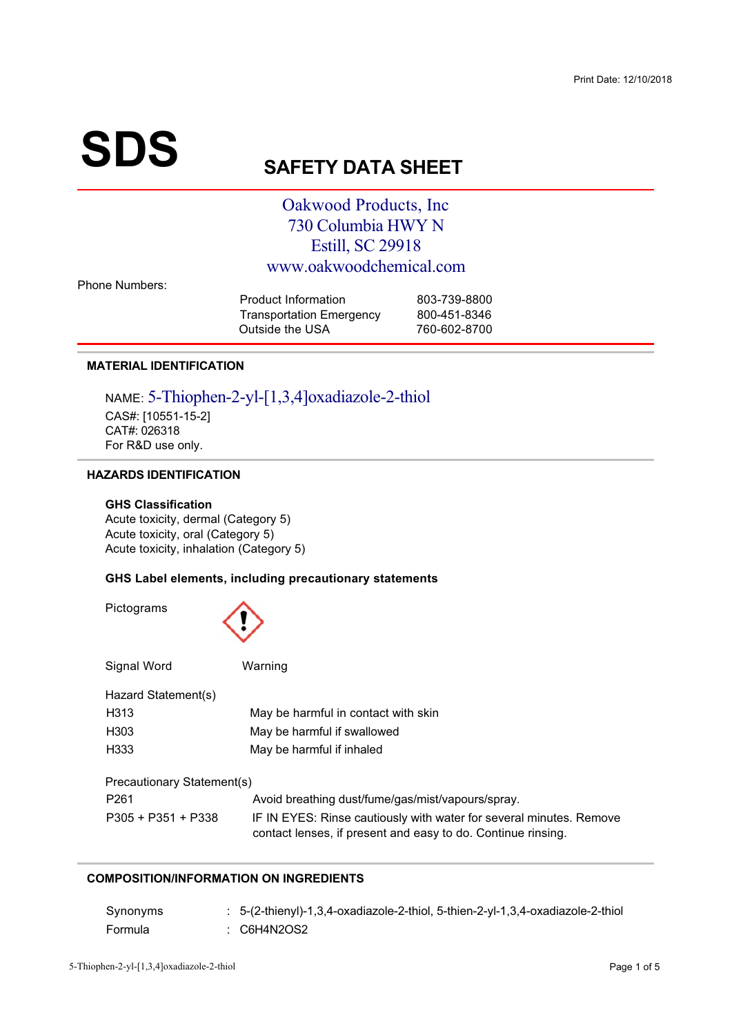# $\textbf{SDS}_{\text{S}}$

# **AFETY DATA SHEET**

### Oakwood Products, Inc. 730 Columbia HWY N Estill, SC 29918 www.oakwoodchemical.com

**Phone Numbers:** 

| 803-739-8800 |
|--------------|
| 800-451-8346 |
| 760-602-8700 |
|              |

#### **MATERIAL IDENTIFICATION**

NAME: 5-Thiophen-2-yl-[1,3,4]oxadiazole-2-thiol CAS#: [10551-15-2]<br>CAT#: 026318  $\overline{F}$ or R&D use  $\overline{F}$ /012 
3 4

#### **HAZARDS IDENTIFICATION**

#### **GHS Classification**

 $\Delta$ cute toxicity, oral (Category 5)  $\Delta$ cute toxicity, inhalation (Category  $\left( \begin{array}{ccc} 0 & 0 \\ 0 & 0 \end{array} \right)$ 

#### **GHS Label elements, including precautionary statements**

| Pictograms                 |                                                                                                                                     |  |  |  |  |  |  |
|----------------------------|-------------------------------------------------------------------------------------------------------------------------------------|--|--|--|--|--|--|
| Signal Word                | Warning                                                                                                                             |  |  |  |  |  |  |
| Hazard Statement(s)        |                                                                                                                                     |  |  |  |  |  |  |
| H <sub>3</sub> 13          | May be harmful in contact with skin                                                                                                 |  |  |  |  |  |  |
| H <sub>303</sub>           | May be harmful if swallowed                                                                                                         |  |  |  |  |  |  |
| H <sub>333</sub>           | May be harmful if inhaled                                                                                                           |  |  |  |  |  |  |
| Precautionary Statement(s) |                                                                                                                                     |  |  |  |  |  |  |
| P <sub>261</sub>           | Avoid breathing dust/fume/gas/mist/vapours/spray.                                                                                   |  |  |  |  |  |  |
| $P305 + P351 + P338$       | IF IN EYES: Rinse cautiously with water for several minutes. Remove<br>contact lenses, if present and easy to do. Continue rinsing. |  |  |  |  |  |  |

#### **COMPOSITION/INFORMATION ON INGREDIENTS**

| Synonyms | : 5-(2-thienyl)-1,3,4-oxadiazole-2-thiol, 5-thien-2-yl-1,3,4-oxadiazole-2-thiol |
|----------|---------------------------------------------------------------------------------|
| Formula  | : C6H4N2OS2                                                                     |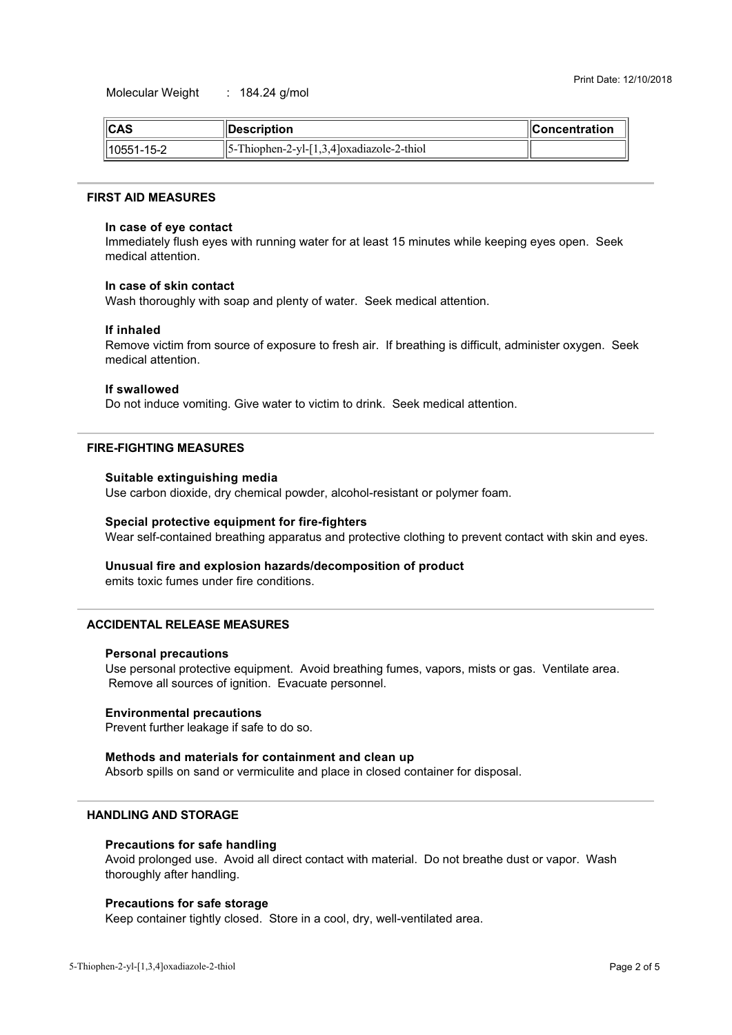$\overline{3}$ 

| $\ $ CAS       | <b>∣∣Description</b>                              | $\blacksquare$ Concentration |
|----------------|---------------------------------------------------|------------------------------|
| $  10551-15-2$ | $  5 - Thiophen-2 - yl-[1,3,4]oxadiazole-2-thiol$ |                              |

#### **FIRST AID MEASURES**

#### In case of eye contact

minis mans, man systematic minister of articles to the<br>modical attention Immediately flush eyes with running water for at least 15 minutes while keeping eyes open. Seek

#### In case of skin contact

Wash thoroughly with soap and plenty of water. Seek medical attention.<br>

#### **If inhaled**

medical attention  $\frac{1}{2}$  . The state of the state  $\frac{1}{2}$  is the state of  $\frac{1}{2}$ Remove victim from source of exposure to fresh air. If breathing is difficult, administer oxygen. Seek

#### **If swallowed**

 $\frac{1}{2}$ Do not induce vomiting. Give water to victim to drink. Seek medical attention.

#### **FIRE-FIGHTING MEASURES**

#### **Suitable extinguishing media**

and the contract of the contract of the contract of the contract of the contract of the contract of the contract of the contract of the contract of the contract of the contract of the contract of the contract of the contra 3<633

3

#### **Special protective equipment for fire-fighters**

Wear self-contained breathing apparatus and protective clothing to prevent contact with skin and eyes.

#### Unusual fire and explosion hazards/decomposition of product

emits toxic fumes under fire conditions

#### **ACCIDENTAL RELEASE MEASURES**

#### **Personal precautions**

Remove all sources of ignition Evacuate personnel  $\mathbf{F}$  is the set of  $\mathbf{F}$  $\frac{1}{2}$  $\frac{3}{2}$ 

#### **Environmental precautions**

 $\mathbf{S}$  =  $\mathbf{S}$  =  $\mathbf{S}$  =  $\mathbf{S}$  =  $\mathbf{S}$  =  $\mathbf{S}$  =  $\mathbf{S}$  =  $\mathbf{S}$  =  $\mathbf{S}$  =  $\mathbf{S}$  =  $\mathbf{S}$  =  $\mathbf{S}$  =  $\mathbf{S}$  =  $\mathbf{S}$  =  $\mathbf{S}$  =  $\mathbf{S}$  =  $\mathbf{S}$  =  $\mathbf{S}$  =  $\mathbf{S}$  =  $\mathbf{S}$  =

#### Methods and materials for containment and clean up

states the state of the state of process the state of the state of the state of the state of the state of the state of the state of the state of the state of the state of the state of the state of the state of the state of

#### **HANDLING AND STORAGE**

#### **Precautions for safe handling**

 $\frac{1}{2}$ 1942 - Andrea Stadt British (b. 1942)<br>1942 - Andrea Stadt, fransk politiker<br>1942 - Andrea Stadt, fransk politiker  $\sim$  34  $\sim$  34  $\sim$  34  $\sim$ 

#### **Precautions for safe storage**

Keep container tightly closed. Store in a cool, dry, well-ventilated area.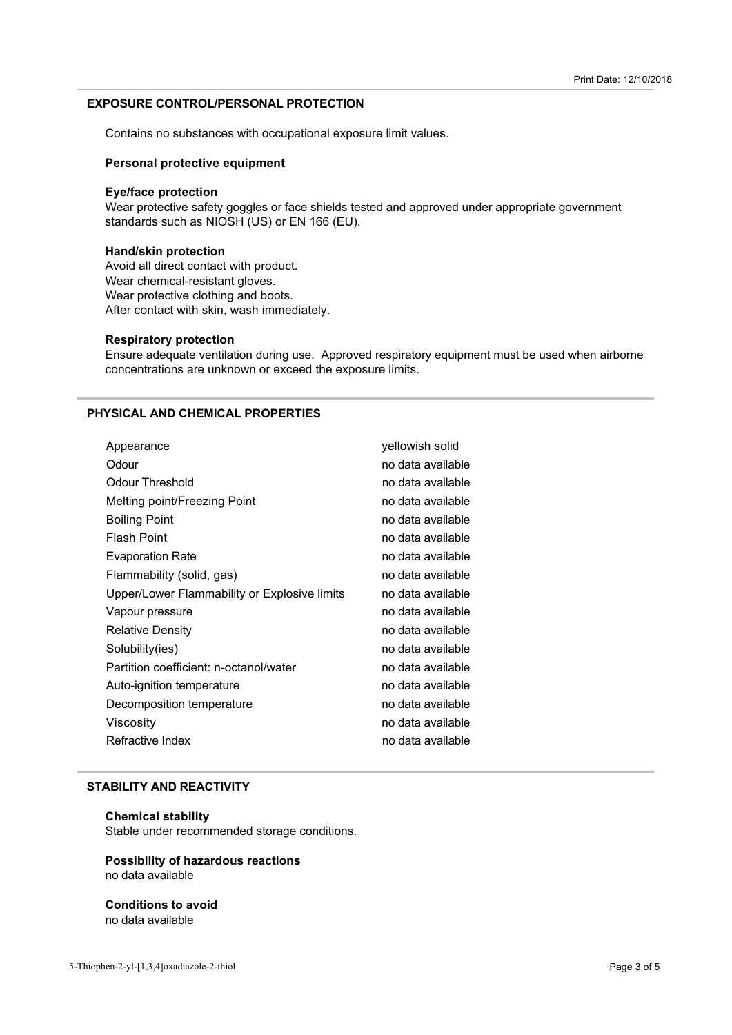#### **EXPOSURE CONTROL/PERSONAL PROTECTION**

+

< 35
 3 >3 
4

#### **Personal protective equipment**

#### **Eye/face protection**

Free the control of the control of the control of the control of the control of the control of the control of the control of the control of the standards such as NIOSH (US) or EN 166 (EU). Wear protective safety goggles or face shields tested and approved under appropriate government

#### **Hand/skin protection**

Avoid all direct contact with product.<br>Wear chemical-resistant gloves. Mear protective clothing and bo After contact with skin wash immer  $\frac{1}{2}$  ,  $\frac{1}{2}$  ,  $\frac{1}{2}$  ,  $\frac{1}{2}$  ,  $\frac{1}{2}$  ,  $\frac{1}{2}$  ,  $\frac{1}{2}$  ,  $\frac{1}{2}$  ,  $\frac{1}{2}$  ,  $\frac{1}{2}$  ,  $\frac{1}{2}$  ,  $\frac{1}{2}$  ,  $\frac{1}{2}$  ,  $\frac{1}{2}$  ,  $\frac{1}{2}$  ,  $\frac{1}{2}$  ,  $\frac{1}{2}$  ,  $\frac{1}{2}$  ,  $\frac{1$ 

#### **Respiratory protection**

ments an equitor communication analysis of a pprocess copinately equipment. 
 =<55
 3 4

#### **PHYSICAL AND CHEMICAL PROPERTIES**

| Appearance                                   | yellowish solid   |
|----------------------------------------------|-------------------|
| Odour                                        | no data available |
| Odour Threshold                              | no data available |
| Melting point/Freezing Point                 | no data available |
| <b>Boiling Point</b>                         | no data available |
| <b>Flash Point</b>                           | no data available |
| <b>Evaporation Rate</b>                      | no data available |
| Flammability (solid, gas)                    | no data available |
| Upper/Lower Flammability or Explosive limits | no data available |
| Vapour pressure                              | no data available |
| <b>Relative Density</b>                      | no data available |
| Solubility(ies)                              | no data available |
| Partition coefficient: n-octanol/water       | no data available |
| Auto-ignition temperature                    | no data available |
| Decomposition temperature                    | no data available |
| Viscosity                                    | no data available |
| Refractive Index                             | no data available |
|                                              |                   |

#### **STABILITY AND REACTIVITY**

#### **Chemical stability**

Stable under recommended storage conditions.<br>'

# **Possibility of hazardous reactions**

# **Conditions to avoid**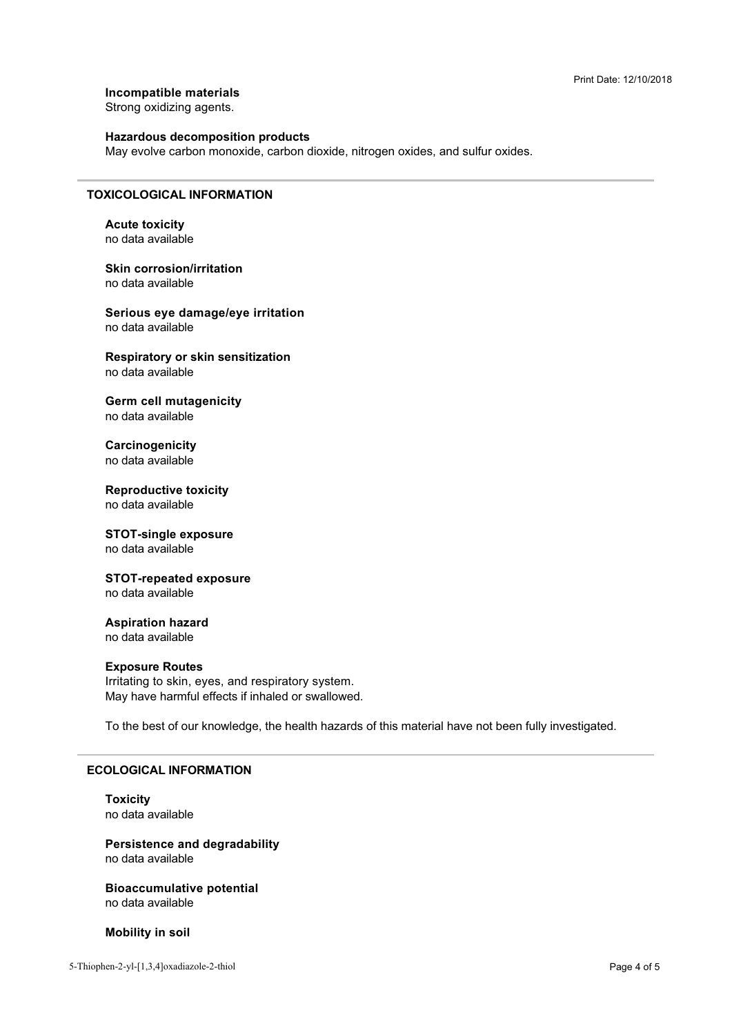**Incompatible materials** 

Strong oxidizing agents.

#### **Hazardous decomposition products**

 $\frac{3}{2}$  . The contribution of the control states, and give control, and control

#### **TOXICOLOGICAL INFORMATION**

**Acute toxicity** no data available

**Skin corrosion/irritation** 

**Serious eve damage/eve irritation** 

**Respiratory or skin sensitization** no data available

**Germ cell mutagenicity** 

**Carcinogenicity** no data available

**Reproductive toxicity** 

## **STOT-single exposure**

no data available

## **STOT-repeated exposure**

**Aspiration hazard** 

no data available

#### **Exposure Routes**

May have harmful effects if inhaled or swallowe \* >

 $\sim$  33  $\sim$  33  $\sim$  43  $\sim$  43  $\sim$  43  $\sim$  43  $\sim$  43  $\sim$  43  $\sim$  43  $\sim$  43  $\sim$ 

#### **ECOLOGICAL INFORMATION**

**Toxicity** 

**Persistence and degradability** 

**Bioaccumulative potential** no data available

**Mobility in soil**